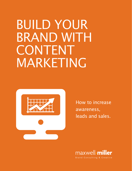# BUILD YOUR BRAND WITH CONTENT MARKETING



How to increase awareness, leads and sales.

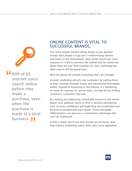

**16** 89% of US<br>internet us<br>search onl internet users search online before they make a purchase, even when the purchase is made at a local business. *JJ*<br>.

### ONLINE CONTENT IS VITAL TO SUCCESSFUL BRANDS.

Ever since people started selling things to one another, brands have played a huge part in determining winners and losers in the marketplace. And, pretty much ever since caveman #1 tried to convince the market that his wheel was better than the one from caveman #2, mass marketing has been used to tell the brand story.

With the advent of content marketing that's all changed.

Content marketing attracts new customers by pulling them to your company through unique and educational information online. Instead of marketing to the masses, it's marketing on more of a person-to-person basis. Instead of you finding customers, customers find you.

By creating and publishing remarkable content in the online places your audience wants to find it, positive perceptions such as trust, confidence and leadership are established and become associated with your brand. Those intangible differentiators can give you a marketplace advantage that can't be duplicated.

In this e-book, you'll see what brands are all about. And how content marketing makes them even more appealing.

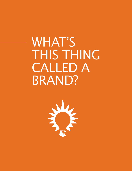WHAT'S THIS THING CALLED A BRAND?

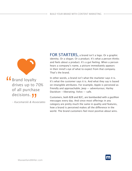**f** Brand loyalty<br>drives up to 7<br>of all purchas drives up to 70% of all purchase decisions. **11** 

– Kucsmarski & Associates  $\frac{1}{\sqrt{2}}$ 

FOR STARTERS, a brand isn't a logo. Or a graphic identity. Or a slogan. Or a product. It's what a person thinks and feels about a product. It's a gut feeling. When a person hears a company's name, a picture immediately appears in their mind's eye of what to expect from that company. That's the brand.

In other words, a brand isn't what the marketer says it is. It's what the customer says it is. And what they say is based on intangible attributes. For example, Apple is perceived as friendly and approachable; Jeep — adventurous; Harley Davidson —liberating; Volvo — safe.

Customers, both B2B and B2C, are bombarded with a gazillion messages every day. And since most offerings in any category are pretty much the same in quality and features, how a brand is perceived makes all the difference in the world. The brand customers feel most positive about wins.

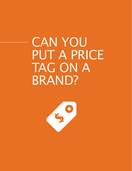## CAN YOU PUT A PRICE TAG ON A BRAND?

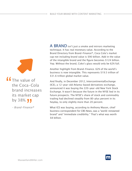**The value of<br>the Coca-Col<br>brand increas** the Coca-Cola brand increases its market cap by 38%. **11** 

– Brand-Finance®  $\frac{1}{2}$  ance

A BRAND isn't just a smoke and mirrors marketing technique. It has real monetary value. According to the Brand Directory from Brand-Finance®, Coca Cola's market cap not including brand value is \$90 billion. Add in the value of the intangible brand and the figure becomes \$124 billion. Yep. Without the brand, Coke's glass would only be 62% full.

Another highlight from Brand-Finance. 62% of the world's business is now intangible. This represents \$19.5 trillion of \$31.6 trillion global market value.

And finally, in December 2012, IntercontinentalExchange (ICE), a 12-year-old Atlanta-based derivatives exchange, announced it was buying the 220-year-old New York Stock Exchange. It wasn't because the future in the NYSE lied in its future prospects. The NYSE's share of stock and commodity trading had declined steadily from 80-plus percent in its heyday, to only slightly more than 20 percent.

What ICE was buying, according to Anthony Mason, chief business correspondent for CBS News, was a "world-renowned brand" and "immediate credibility." That's what was worth \$8 billion.

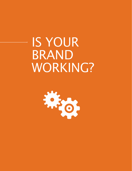IS YOUR BRAND WORKING?

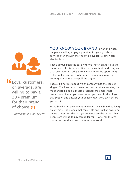

**Loyal customers,<br>
on average, are<br>
willing to pay a** on average, are willing to pay a 20% premium for their brand of choice. **J** 

– Kucsmarski & Associates  $\frac{1}{2}$ 

YOU KNOW YOUR BRAND is working when people are willing to pay a premium for your goods or services even though they might be available somewhere else for less.

That's always been the case with top-notch brands. But the importance of it is more critical in the content marketing age than ever before. Today's consumers have the opportunity to hop online and research brands spanning across the entire globe before they pull the trigger.

Today, it's not just about which company has the coolest slogan. The best brands have the most intuitive website; the most engaging social media presence; the emails that remind you of what you need, when you need it; the blogs that predict and answer your specific question, even before you ask it.

Brand building in the content marketing age is brand building on steroids. The brands that can create and publish awesome online content for their target audience are the brands that people are willing to pay top dollar for — whether they're located across the street or around the world.

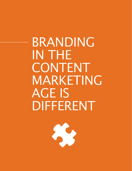BRANDING IN THE CONTENT MARKETING AGE IS DIFFERENT

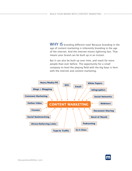WHY IS branding different now? Because branding in the age of content marketing is inherently branding in the age of the internet. And the internet moves lightning fast. That means your brand can be built up in an instant.

But it can also be built up over time, and reach far more people than ever before. The opportunity for a small company to level the playing field with the big boys is here with the internet and content marketing.



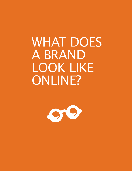WHAT DOES A BRAND LOOK LIKE ONLINE?

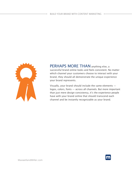

PERHAPS MORE THAN anything else, a successful brand online looks and feels consistent. No matter which channel your customers choose to interact with your brand, they should all demonstrate the unique experience your brand represents.

Visually, your brand should include the same elements logos, colors, fonts — across all channels. But more important than just mere design consistency, it's the experience people have with your brand online that should transcend each channel and be instantly recognizable as your brand.

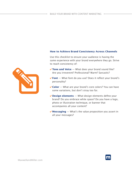#### **How to Achieve Brand Consistency Across Channels**

Use this checklist to ensure your audience is having the same experience with your brand everywhere they go. Strive to reach consistency of:

- **Tone and Voice** What does your brand sound like? Are you irreverent? Professional? Warm? Sarcastic?
- **►Font** What font do you use? Does it reflect your brand's personality?
- $\checkmark$  **Color** − What are your brand's core colors? You can have some variations, but don't stray too far.
- 4**Design elements** What design elements define your brand? Do you embrace white space? Do you have a logo, photo or illustration technique, or banner that accompanies all your content?
- $\mathbf{\nabla}$  **Messaging** What's the value proposition you assert in all your messages?



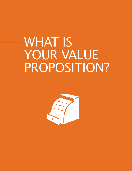# WHAT IS YOUR VALUE PROPOSITION?

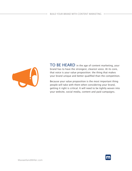

TO BE HEARD in the age of content marketing, your brand has to have the strongest, clearest voice. At its core, that voice is your value proposition: the thing that makes your brand unique and better qualified than the competition.

Because your value proposition is the most important thing people will take with them when considering your brand, getting it right is critical. It will need to be tightly woven into your website, social media, content and paid campaigns.

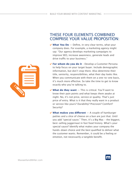

- $\checkmark$  **What You Do** − Define, in very clear terms, what your company does. For example, a marketing agency might say: "Our agency develops marketing campaigns to improve SEO, increase awareness, generate leads and drive traffic to your business."
- $\checkmark$  **For whom do you do it** − Develop a Customer Persona to help focus on your target buyer. Include demographic information, but don't stop there. Also determine their title, seniority, responsibilities, what their day looks like. When you communicate with them on a one-to-one basis, it's much more effective. So take the time to get to know exactly who you're talking to.
- $\vee$  What do they want  $-$  This is critical. You'll want to know their pain points and what keeps them awake at night. No, it's not price, service or quality. That's just price of entry. What is it that they really want in a product or service like yours? Durability? Precision? Comfort? Security?
- 4 **What makes you different** A couple of hamburger patties and a slice of cheese on a bun are just that. Until you add "special sauce." Then, it's a Big Mac - the biggest, best-selling juggernaut in fast food history. What's your special sauce? Identify what makes your company the hands-down choice and the best qualified to deliver what the customer wants. Remember, it could be a feeling or emotion, not necessarily a tangible benefit.

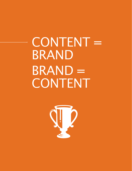CONTENT = BRAND BRAND = **CONTENT** 

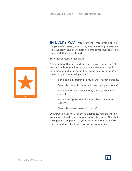IN EVERY WAY, your content is your brand online. It's your salesperson, your store, your marketing department; it's your story, and every piece of content you publish reflects on, and defines, your brand.

So, great content, great brand.

And it's more than just a difference between what's great and what's boring. Often, what you choose not to publish says more about your brand than some snappy copy. When developing content, ask yourself:

- Is this topic interesting to my brand's target persona?
- Does this piece of content address their pain points?
- Is this the format in which they'd like to consume content?
- Is this tone appropriate for the subject matter and reader?
- Does this content have a purpose?

By answering yes to all of these questions, you are well on your way to building a stronger, more vital brand. One that talks person-to-person to your target; one that builds trust; one that extends far beyond previous boundaries.